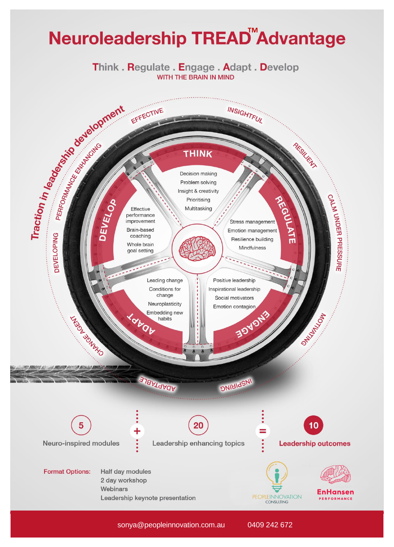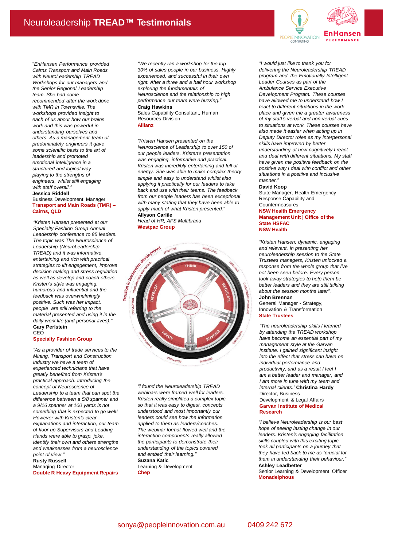

**Transport and Main Roads (TMR) – Cairns, QLD**

*"Kristen Hansen presented at our Specialty Fashion Group Annual Leadership conference to 85 leaders. The topic was The Neuroscience of Leadership (NeuroLeadership TREAD) and it was informative, entertaining and rich with practical strategies to lift engagement, improve decision making and stress regulation as well as develop and coach others. Kristen's style was engaging, humorous and influential and the feedback was overwhelmingly positive. Such was her impact, people are still referring to the material presented and using it in the daily work life (and personal lives)."* **Gary Perlstein** CEO

#### **Specialty Fashion Group**

*"As a provider of trade services to the Mining, Transport and Construction industry we have a team of experienced technicians that have greatly benefited from Kristen's practical approach. Introducing the concept of Neuroscience of Leadership to a team that can spot the difference between a 5/8 spanner and a 9/16 spanner at 100 yards is not something that is expected to go well! However with Kristen's clear explanations and interaction, our team of floor up Supervisors and Leading Hands were able to grasp, joke, identify their own and others strengths and weaknesses from a neuroscience point of view."*

### **Rusty Russell**

Managing Director **Double R Heavy Equipment Repairs** *"We recently ran a workshop for the top 30% of sales people in our business. Highly experienced, and successful in their own right. After a three and a half hour workshop exploring the fundamentals of Neuroscience and the relationship to high performance our team were buzzing."* **Craig Hawkins**

Sales Capability Consultant, Human Resources Division **Allianz**

*"Kristen Hansen presented on the Neuroscience of Leadership to over 150 of our people leaders. Kristen's presentation was engaging, informative and practical. Kristen was incredibly entertaining and full of energy. She was able to make complex theory simple and easy to understand whilst also applying it practically for our leaders to take back and use with their teams. The feedback from our people leaders has been exceptional with many stating that they have been able to apply much of what Kristen presented."* **Allyson Carlile**

*Head of HR, AFS Multibrand* **Westpac Group**



*"I found the Neuroleadership TREAD webinars were framed well for leaders. Kristen really simplified a complex topic so that it was easy to digest, concepts understood and most importantly our leaders could see how the information applied to them as leaders/coaches. The webinar format flowed well and the interaction components really allowed the participants to demonstrate their understanding of the topics covered and embed their learning."* **Suzana Katic** Learning & Development

**Chep**



*"I would just like to thank you for delivering the Neuroleadership TREAD program and the Emotionally Intelligent Leader Courses as part of the Ambulance Service Executive Development Program. These courses have allowed me to understand how I react to different situations in the work place and given me a greater awareness of my staff's verbal and non-verbal cues to situations at work. These courses have also made it easier when acting up in Deputy Director roles as my interpersonal skills have improved by better understanding of how cognitively I react and deal with different situations. My staff have given me positive feedback on the positive way I deal with conflict and other situations in a positive and inclusive manner."*

### **David Koop**

State Manager, Health Emergency Response Capability and Countermeasures

### **NSW Health Emergency**

**Management Unit** | **Office of the State HSFAC NSW Health**

*"Kristen Hansen; dynamic, engaging and relevant. In presenting her neuroleadership session to the State Trustees managers, Kristen unlocked a response from the whole group that I've not been seen before. Every person took away strategies to help them be better leaders and they are still talking about the session months later".* **John Brennan**

General Manager - Strategy, Innovation & Transformation **State Trustees**

*"The neuroleadership skills I learned by attending the TREAD workshop have become an essential part of my management style at the Garvan Institute. I gained significant insight into the effect that stress can have on individual performance and productivity, and as a result I feel I am a better leader and manager, and I am more in tune with my team and internal clients."* **Christina Hardy** Director, Business Development & Legal Affairs **Garvan Institute of Medical Research**

*"I believe Neuroleadership is our best hope of seeing lasting change in our leaders. Kristen's engaging facilitation skills coupled with this exciting topic took all participants on a journey that they have fed back to me as "crucial for them in understanding their behaviour."* **Ashley Leadbetter**

Senior Learning & Development Officer **Monadelphous**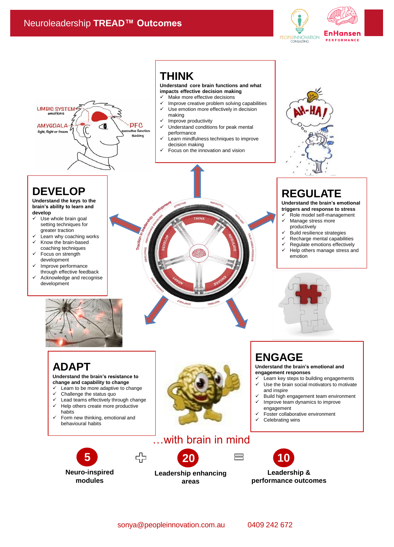